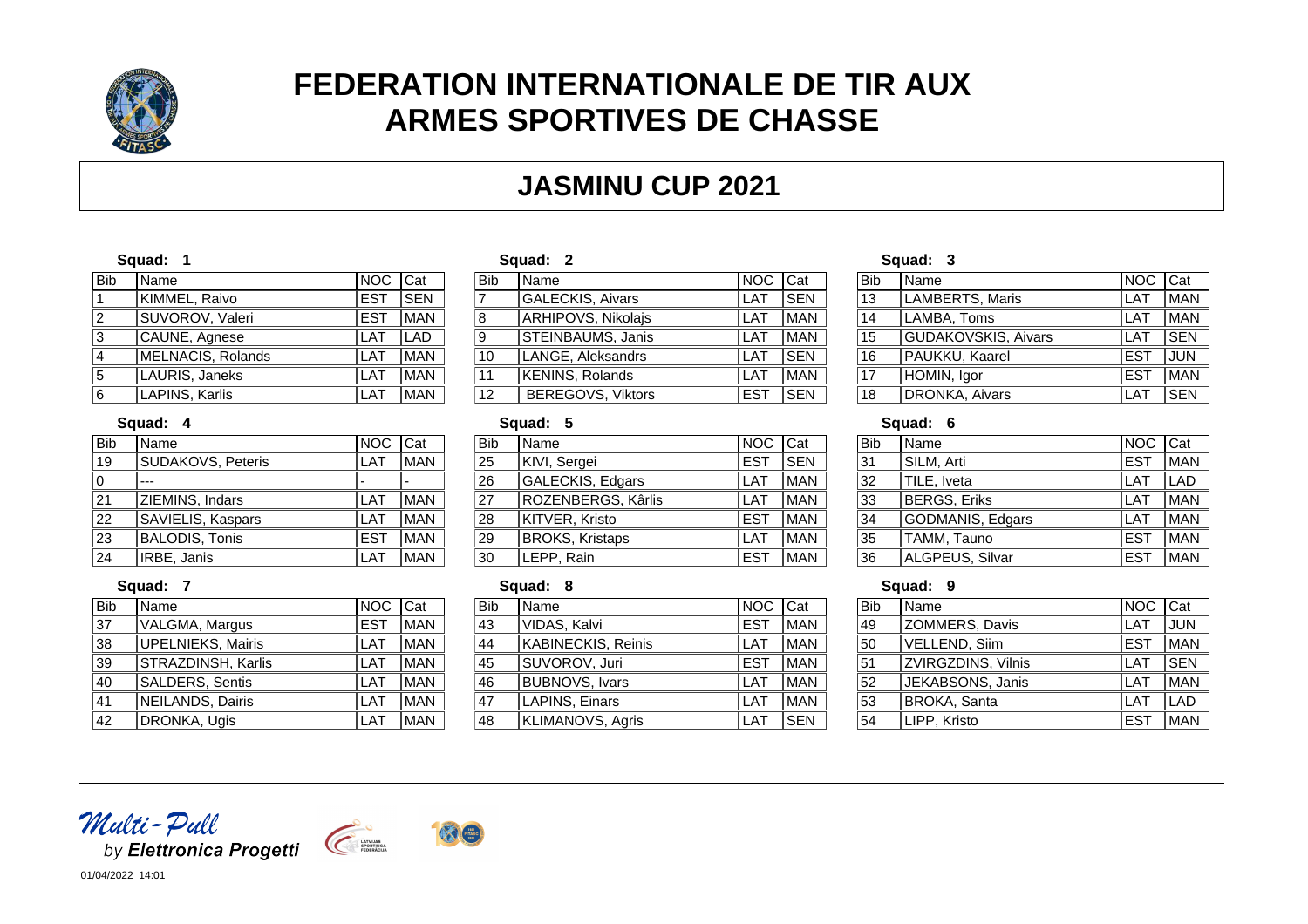

# **FEDERATION INTERNATIONALE DE TIR AUX ARMES SPORTIVES DE CHASSE**

## **JASMINU CUP 2021**

#### **Squad: 1**

| <b>Bib</b>     | Name              | NOC Cat     |            |
|----------------|-------------------|-------------|------------|
|                | KIMMEL, Raivo     | <b>IEST</b> | <b>SEN</b> |
| $\overline{2}$ | SUVOROV, Valeri   | IEST        | <b>MAN</b> |
| 3              | CAUNE, Agnese     | <b>ILAT</b> | <b>LAD</b> |
| $\overline{4}$ | MELNACIS, Rolands | <b>ILAT</b> | <b>MAN</b> |
| 5              | LAURIS, Janeks    | <b>LAT</b>  | <b>MAN</b> |
| 6              | LAPINS, Karlis    | <b>ILAT</b> | <b>MAN</b> |

#### **Squad: 4**

| <b>Bib</b> | Name                  | <b>NOC</b> | Cat        |
|------------|-----------------------|------------|------------|
| 19         | SUDAKOVS, Peteris     | I AT       | <b>MAN</b> |
| 0          |                       |            |            |
| 21         | ZIEMINS, Indars       | I AT       | <b>MAN</b> |
| 22         | SAVIELIS, Kaspars     | L AT       | <b>MAN</b> |
| 23         | <b>BALODIS, Tonis</b> | <b>EST</b> | <b>MAN</b> |
| 24         | IRBE, Janis           | I AT       | <b>MAN</b> |

### **Squad: 2**

| Name                     | <b>NOC</b> | Cat        |
|--------------------------|------------|------------|
| GALECKIS, Aivars         | LAT        | <b>SEN</b> |
| ARHIPOVS, Nikolajs       | LAT        | <b>MAN</b> |
| STEINBAUMS, Janis        | LAT        | <b>MAN</b> |
| LANGE, Aleksandrs        | LAT        | <b>SEN</b> |
| <b>KENINS, Rolands</b>   | LAT        | <b>MAN</b> |
| <b>BEREGOVS, Viktors</b> | <b>EST</b> | <b>SEN</b> |
|                          |            |            |

#### **Squad: 5**

| <b>Bib</b> | Name                   | <b>INOC</b> | <b>ICat</b> |
|------------|------------------------|-------------|-------------|
| 25         | KIVI, Sergei           | IEST        | <b>SEN</b>  |
| 26         | GALECKIS, Edgars       | LAT         | <b>MAN</b>  |
| 27         | ROZENBERGS, Kârlis     | LAT         | <b>MAN</b>  |
| 28         | KITVER, Kristo         | IEST        | <b>MAN</b>  |
| 29         | <b>BROKS, Kristaps</b> | I AT        | <b>MAN</b>  |
| 30         | LEPP, Rain             | <b>IEST</b> | <b>MAN</b>  |

#### **Squad: 8**

|                 | vyuuu. v                |             |              |
|-----------------|-------------------------|-------------|--------------|
| <b>Bib</b>      | Name                    | <b>NOC</b>  | <b>I</b> Cat |
| 43              | VIDAS, Kalvi            | <b>EST</b>  | <b>MAN</b>   |
| 44              | KABINECKIS, Reinis      | LAT         | <b>MAN</b>   |
| $\overline{45}$ | SUVOROV, Juri           | <b>IEST</b> | <b>MAN</b>   |
| $\overline{46}$ | <b>BUBNOVS, Ivars</b>   | LAT         | <b>MAN</b>   |
| $\overline{47}$ | LAPINS, Einars          | LAT         | <b>MAN</b>   |
| $\overline{48}$ | <b>KLIMANOVS, Agris</b> | LAT         | <b>SEN</b>   |

#### **Squad: 3**

| <b>Bib</b> | Name                       | INOC   | <b>I</b> Cat |
|------------|----------------------------|--------|--------------|
| 13         | LAMBERTS, Maris            | LAT    | <b>MAN</b>   |
| 14         | LAMBA, Toms                | LAT    | <b>MAN</b>   |
| 15         | <b>GUDAKOVSKIS, Aivars</b> | LAT    | lsen         |
| 16         | PAUKKU, Kaarel             | IEST   | <b>JUN</b>   |
| 17         | HOMIN, Igor                | IEST   | <b>MAN</b>   |
| 18         | DRONKA, Aivars             | $+$ AT | <b>SEN</b>   |

#### **Squad: 6**

| <b>Bib</b>      | Name                | INOC.      | <b>ICat</b> |
|-----------------|---------------------|------------|-------------|
| $\overline{31}$ | SILM, Arti          | IEST       | <b>MAN</b>  |
| 32              | TILE, Iveta         | LAT        | LAD         |
| 33              | <b>BERGS, Eriks</b> | LAT        | <b>MAN</b>  |
| 34              | GODMANIS, Edgars    | <b>LAT</b> | <b>MAN</b>  |
| $\overline{35}$ | TAMM, Tauno         | IEST       | <b>MAN</b>  |
| 36              | ALGPEUS, Silvar     | IEST       | <b>MAN</b>  |

#### **Squad: 9**

| <b>Bib</b>      | Name                 | <b>NOC</b> | <b>Cat</b> |
|-----------------|----------------------|------------|------------|
| 49              | ZOMMERS, Davis       | LAT        | <b>JUN</b> |
| 50              | <b>VELLEND, Siim</b> | IEST       | <b>MAN</b> |
| 51              | ZVIRGZDINS, Vilnis   | LAT        | <b>SEN</b> |
| $\overline{52}$ | JEKABSONS, Janis     | LAT        | <b>MAN</b> |
| $\overline{53}$ | <b>BROKA, Santa</b>  | LAT        | LAD        |
| 54              | LIPP, Kristo         | lest       | <b>MAN</b> |

### **Squad: 7**

| <b>Bib</b>      | Name               | NOC        | Cat        |
|-----------------|--------------------|------------|------------|
| $\overline{37}$ | VALGMA, Margus     | <b>EST</b> | <b>MAN</b> |
| 38              | UPELNIEKS, Mairis  | LAT        | MAN        |
| $\overline{39}$ | STRAZDINSH, Karlis | LAT        | <b>MAN</b> |
| $\overline{40}$ | SALDERS, Sentis    | LAT        | <b>MAN</b> |
| $\overline{41}$ | NEILANDS, Dairis   | LAT        | <b>MAN</b> |
| $\overline{42}$ | DRONKA, Ugis       | I AT       | <b>MAN</b> |